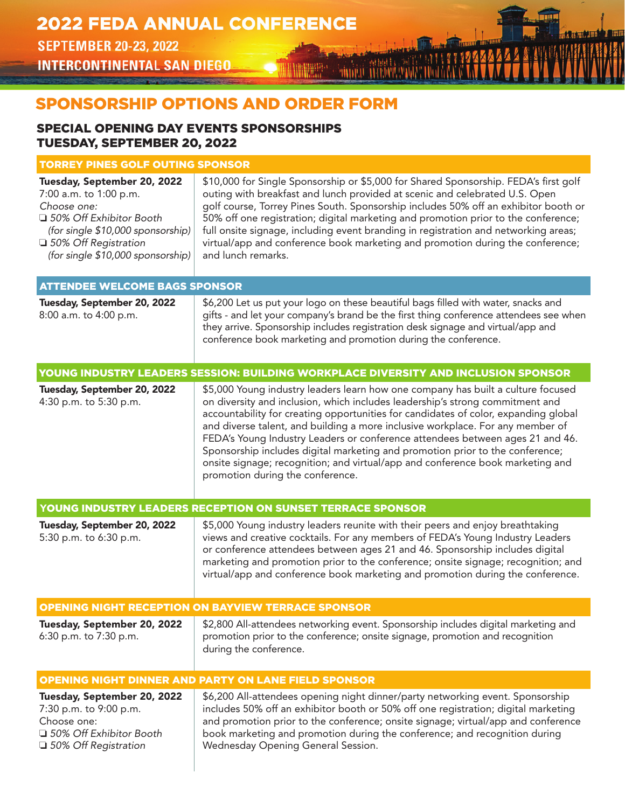**SEPTEMBER 20-23, 2022** INTERCONTINENTAL SAN DIEGO **September 2008 – INTERCONTINENTAL SAN DIEGO** 

# SPONSORSHIP OPTIONS AND ORDER FORM

# SPECIAL OPENING DAY EVENTS SPONSORSHIPS TUESDAY, SEPTEMBER 20, 2022

# TORREY PINES GOLF OUTING SPONSOR

| Tuesday, September 20, 2022<br>7:00 a.m. to 1:00 p.m.<br>Choose one:<br>□ 50% Off Exhibitor Booth<br>(for single \$10,000 sponsorship)<br>□ 50% Off Registration<br>(for single \$10,000 sponsorship) | \$10,000 for Single Sponsorship or \$5,000 for Shared Sponsorship. FEDA's first golf<br>outing with breakfast and lunch provided at scenic and celebrated U.S. Open<br>golf course, Torrey Pines South. Sponsorship includes 50% off an exhibitor booth or<br>50% off one registration; digital marketing and promotion prior to the conference;<br>full onsite signage, including event branding in registration and networking areas;<br>virtual/app and conference book marketing and promotion during the conference;<br>and lunch remarks.                                                                                    |
|-------------------------------------------------------------------------------------------------------------------------------------------------------------------------------------------------------|------------------------------------------------------------------------------------------------------------------------------------------------------------------------------------------------------------------------------------------------------------------------------------------------------------------------------------------------------------------------------------------------------------------------------------------------------------------------------------------------------------------------------------------------------------------------------------------------------------------------------------|
| <b>ATTENDEE WELCOME BAGS SPONSOR</b>                                                                                                                                                                  |                                                                                                                                                                                                                                                                                                                                                                                                                                                                                                                                                                                                                                    |
| Tuesday, September 20, 2022<br>8:00 a.m. to 4:00 p.m.                                                                                                                                                 | \$6,200 Let us put your logo on these beautiful bags filled with water, snacks and<br>gifts - and let your company's brand be the first thing conference attendees see when<br>they arrive. Sponsorship includes registration desk signage and virtual/app and<br>conference book marketing and promotion during the conference.                                                                                                                                                                                                                                                                                                   |
|                                                                                                                                                                                                       | YOUNG INDUSTRY LEADERS SESSION: BUILDING WORKPLACE DIVERSITY AND INCLUSION SPONSOR                                                                                                                                                                                                                                                                                                                                                                                                                                                                                                                                                 |
| Tuesday, September 20, 2022<br>4:30 p.m. to 5:30 p.m.                                                                                                                                                 | \$5,000 Young industry leaders learn how one company has built a culture focused<br>on diversity and inclusion, which includes leadership's strong commitment and<br>accountability for creating opportunities for candidates of color, expanding global<br>and diverse talent, and building a more inclusive workplace. For any member of<br>FEDA's Young Industry Leaders or conference attendees between ages 21 and 46.<br>Sponsorship includes digital marketing and promotion prior to the conference;<br>onsite signage; recognition; and virtual/app and conference book marketing and<br>promotion during the conference. |
|                                                                                                                                                                                                       | YOUNG INDUSTRY LEADERS RECEPTION ON SUNSET TERRACE SPONSOR                                                                                                                                                                                                                                                                                                                                                                                                                                                                                                                                                                         |
| Tuesday, September 20, 2022<br>5:30 p.m. to 6:30 p.m.                                                                                                                                                 | \$5,000 Young industry leaders reunite with their peers and enjoy breathtaking<br>views and creative cocktails. For any members of FEDA's Young Industry Leaders<br>or conference attendees between ages 21 and 46. Sponsorship includes digital<br>marketing and promotion prior to the conference; onsite signage; recognition; and<br>virtual/app and conference book marketing and promotion during the conference.                                                                                                                                                                                                            |
|                                                                                                                                                                                                       | <b>OPENING NIGHT RECEPTION ON BAYVIEW TERRACE SPONSOR</b>                                                                                                                                                                                                                                                                                                                                                                                                                                                                                                                                                                          |
| Tuesday, September 20, 2022<br>6:30 p.m. to 7:30 p.m.                                                                                                                                                 | \$2,800 All-attendees networking event. Sponsorship includes digital marketing and<br>promotion prior to the conference; onsite signage, promotion and recognition<br>during the conference.                                                                                                                                                                                                                                                                                                                                                                                                                                       |
|                                                                                                                                                                                                       | <b>OPENING NIGHT DINNER AND PARTY ON LANE FIELD SPONSOR</b>                                                                                                                                                                                                                                                                                                                                                                                                                                                                                                                                                                        |
| Tuesday, September 20, 2022<br>7:30 p.m. to 9:00 p.m.<br>Choose one:<br>□ 50% Off Exhibitor Booth<br>□ 50% Off Registration                                                                           | \$6,200 All-attendees opening night dinner/party networking event. Sponsorship<br>includes 50% off an exhibitor booth or 50% off one registration; digital marketing<br>and promotion prior to the conference; onsite signage; virtual/app and conference<br>book marketing and promotion during the conference; and recognition during<br>Wednesday Opening General Session.                                                                                                                                                                                                                                                      |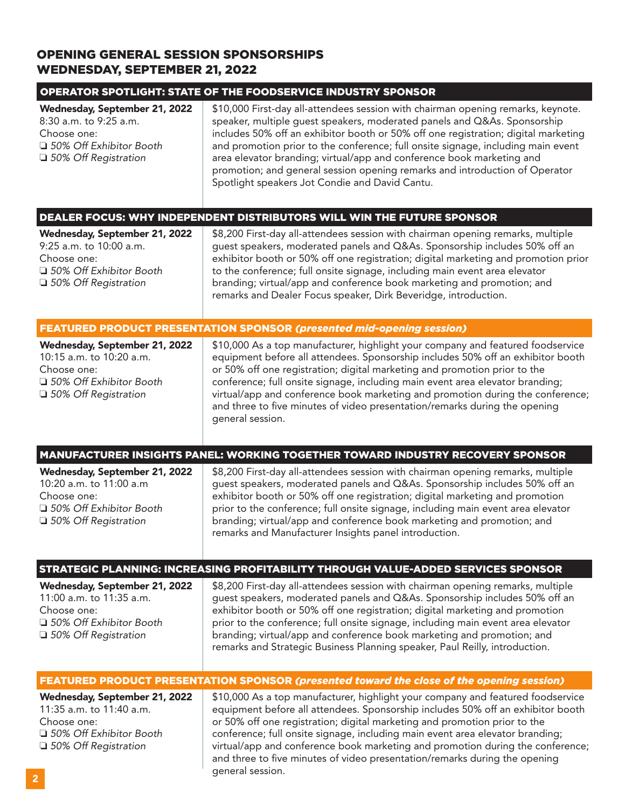# OPENING GENERAL SESSION SPONSORSHIPS WEDNESDAY, SEPTEMBER 21, 2022

#### OPERATOR SPOTLIGHT: STATE OF THE FOODSERVICE INDUSTRY SPONSOR

| Wednesday, September 21, 2022<br>8:30 a.m. to 9:25 a.m.<br>Choose one:<br>□ 50% Off Exhibitor Booth<br>$\Box$ 50% Off Registration | \$10,000 First-day all-attendees session with chairman opening remarks, keynote.<br>speaker, multiple quest speakers, moderated panels and Q&As. Sponsorship<br>includes 50% off an exhibitor booth or 50% off one registration; digital marketing<br>and promotion prior to the conference; full onsite signage, including main event<br>area elevator branding; virtual/app and conference book marketing and<br>promotion; and general session opening remarks and introduction of Operator<br>Spotlight speakers Jot Condie and David Cantu. |  |
|------------------------------------------------------------------------------------------------------------------------------------|--------------------------------------------------------------------------------------------------------------------------------------------------------------------------------------------------------------------------------------------------------------------------------------------------------------------------------------------------------------------------------------------------------------------------------------------------------------------------------------------------------------------------------------------------|--|
|                                                                                                                                    |                                                                                                                                                                                                                                                                                                                                                                                                                                                                                                                                                  |  |

#### OCUS: WHY INDEPENDENT DISTRIBUTORS WILL WIN THE FUTURE SPONSOR

| Wednesday, September 21, 2022 |  |
|-------------------------------|--|
| $9:25$ a.m. to $10:00$ a.m.   |  |
| Choose one:                   |  |
| □ 50% Off Exhibitor Booth     |  |
| □ 50% Off Registration        |  |

\$8,200 First-day all-attendees session with chairman opening remarks, multiple guest speakers, moderated panels and Q&As. Sponsorship includes 50% off an exhibitor booth or 50% off one registration; digital marketing and promotion prior to the conference; full onsite signage, including main event area elevator branding; virtual/app and conference book marketing and promotion; and remarks and Dealer Focus speaker, Dirk Beveridge, introduction.

#### FEATURED PRODUCT PRESENTATION SPONSOR *(presented mid-opening session)*

Wednesday, September 21, 2022 | \$10,000 As a top manufacturer, highlight your company and featured foodservice 10:15 a.m. to 10:20 a.m. equipment before all attendees. Sponsorship includes 50% off an exhibitor booth Choose one: or 50% off one registration; digital marketing and promotion prior to the □ 50% Off Exhibitor Booth conference; full onsite signage, including main event area elevator branding; □ 50% Off Registration **virtual/app and conference book marketing and promotion during the conference;** and three to five minutes of video presentation/remarks during the opening general session.

### MANUFACTURER INSIGHTS PANEL: WORKING TOGETHER TOWARD INDUSTRY RECOVERY SPONSOR

| Wednesday, September 21, 2022 | \$8 |
|-------------------------------|-----|
| 10:20 a.m. to 11:00 a.m       | qu  |
| Choose one:                   | ex  |
| □ 50% Off Exhibitor Booth     | pri |
| □ 50% Off Registration        | bra |
|                               |     |

,200 First-day all-attendees session with chairman opening remarks, multiple est speakers, moderated panels and Q&As. Sponsorship includes 50% off an hibitor booth or 50% off one registration; digital marketing and promotion or to the conference; full onsite signage, including main event area elevator anding; virtual/app and conference book marketing and promotion; and remarks and Manufacturer Insights panel introduction.

# STRATEGIC PLANNING: INCREASING PROFITABILITY THROUGH VALUE-ADDED SERVICES SPONSOR

| Wednesday, September 21, 2022 | \$8,200 First-day all-attendees session with chairman opening remarks, multiple  |
|-------------------------------|----------------------------------------------------------------------------------|
| 11:00 a.m. to 11:35 a.m.      | guest speakers, moderated panels and Q&As. Sponsorship includes 50% off an       |
| Choose one:                   | exhibitor booth or 50% off one registration; digital marketing and promotion     |
| □ 50% Off Exhibitor Booth     | prior to the conference; full onsite signage, including main event area elevator |
| $\Box$ 50% Off Registration   | branding; virtual/app and conference book marketing and promotion; and           |
|                               | remarks and Strategic Business Planning speaker, Paul Reilly, introduction.      |

# FEATURED PRODUCT PRESENTATION SPONSOR *(presented toward the close of the opening session)*

**Wednesday, September 21, 2022**  $\parallel$  \$10,000 As a top manufacturer, highlight your company and featured foodservice 11:35 a.m. to 11:40 a.m. <br> **equipment before all attendees. Sponsorship includes 50% off an exhibitor booth** Choose one: or 50% off one registration; digital marketing and promotion prior to the<br>1988 Off Exhibitor Booth conference; full onsite signage, including main event area elevator brand conference; full onsite signage, including main event area elevator branding; □ 50% Off Registration **virtual/app and conference book marketing and promotion during the conference;** and three to five minutes of video presentation/remarks during the opening general session.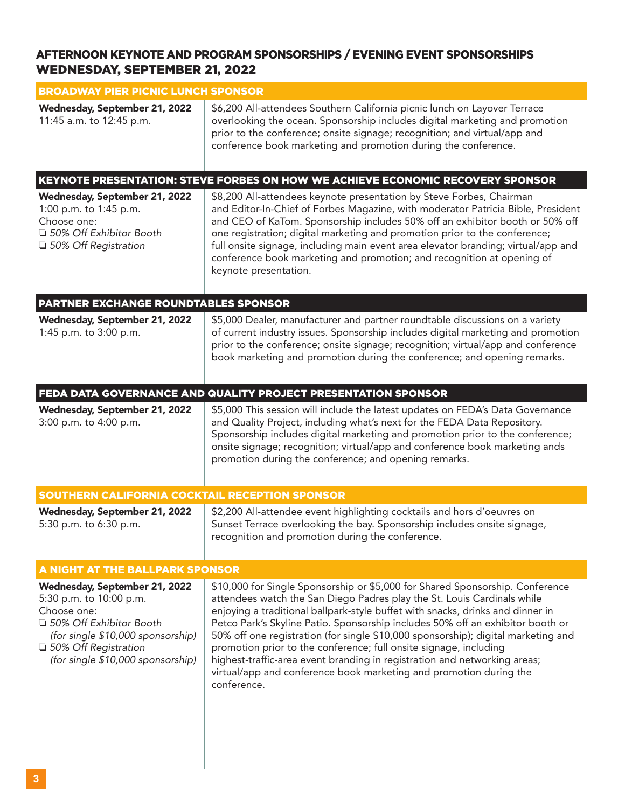# AFTERNOON KEYNOTE AND PROGRAM SPONSORSHIPS / EVENING EVENT SPONSORSHIPS WEDNESDAY, SEPTEMBER 21, 2022

| <b>BROADWAY PIER PICNIC LUNCH SPONSOR</b>                                                                                                                                                                |                                                                                                                                                                                                                                                                                                                                                                                                                                                                                                                                                                                                                                                          |  |  |
|----------------------------------------------------------------------------------------------------------------------------------------------------------------------------------------------------------|----------------------------------------------------------------------------------------------------------------------------------------------------------------------------------------------------------------------------------------------------------------------------------------------------------------------------------------------------------------------------------------------------------------------------------------------------------------------------------------------------------------------------------------------------------------------------------------------------------------------------------------------------------|--|--|
| Wednesday, September 21, 2022<br>11:45 a.m. to 12:45 p.m.                                                                                                                                                | \$6,200 All-attendees Southern California picnic lunch on Layover Terrace<br>overlooking the ocean. Sponsorship includes digital marketing and promotion<br>prior to the conference; onsite signage; recognition; and virtual/app and<br>conference book marketing and promotion during the conference.                                                                                                                                                                                                                                                                                                                                                  |  |  |
|                                                                                                                                                                                                          | KEYNOTE PRESENTATION: STEVE FORBES ON HOW WE ACHIEVE ECONOMIC RECOVERY SPONSOR                                                                                                                                                                                                                                                                                                                                                                                                                                                                                                                                                                           |  |  |
| Wednesday, September 21, 2022<br>1:00 p.m. to 1:45 p.m.<br>Choose one:<br>□ 50% Off Exhibitor Booth<br>□ 50% Off Registration                                                                            | \$8,200 All-attendees keynote presentation by Steve Forbes, Chairman<br>and Editor-In-Chief of Forbes Magazine, with moderator Patricia Bible, President<br>and CEO of KaTom. Sponsorship includes 50% off an exhibitor booth or 50% off<br>one registration; digital marketing and promotion prior to the conference;<br>full onsite signage, including main event area elevator branding; virtual/app and<br>conference book marketing and promotion; and recognition at opening of<br>keynote presentation.                                                                                                                                           |  |  |
| PARTNER EXCHANGE ROUNDTABLES SPONSOR                                                                                                                                                                     |                                                                                                                                                                                                                                                                                                                                                                                                                                                                                                                                                                                                                                                          |  |  |
| Wednesday, September 21, 2022<br>1:45 p.m. to 3:00 p.m.                                                                                                                                                  | \$5,000 Dealer, manufacturer and partner roundtable discussions on a variety<br>of current industry issues. Sponsorship includes digital marketing and promotion<br>prior to the conference; onsite signage; recognition; virtual/app and conference<br>book marketing and promotion during the conference; and opening remarks.                                                                                                                                                                                                                                                                                                                         |  |  |
|                                                                                                                                                                                                          | FEDA DATA GOVERNANCE AND QUALITY PROJECT PRESENTATION SPONSOR                                                                                                                                                                                                                                                                                                                                                                                                                                                                                                                                                                                            |  |  |
| Wednesday, September 21, 2022<br>3:00 p.m. to 4:00 p.m.                                                                                                                                                  | \$5,000 This session will include the latest updates on FEDA's Data Governance<br>and Quality Project, including what's next for the FEDA Data Repository.<br>Sponsorship includes digital marketing and promotion prior to the conference;<br>onsite signage; recognition; virtual/app and conference book marketing ands<br>promotion during the conference; and opening remarks.                                                                                                                                                                                                                                                                      |  |  |
| SOUTHERN CALIFORNIA COCKTAIL RECEPTION SPONSOR                                                                                                                                                           |                                                                                                                                                                                                                                                                                                                                                                                                                                                                                                                                                                                                                                                          |  |  |
| Wednesday, September 21, 2022<br>5:30 p.m. to 6:30 p.m.                                                                                                                                                  | \$2,200 All-attendee event highlighting cocktails and hors d'oeuvres on<br>Sunset Terrace overlooking the bay. Sponsorship includes onsite signage,<br>recognition and promotion during the conference.                                                                                                                                                                                                                                                                                                                                                                                                                                                  |  |  |
|                                                                                                                                                                                                          | A NIGHT AT THE BALLPARK SPONSOR                                                                                                                                                                                                                                                                                                                                                                                                                                                                                                                                                                                                                          |  |  |
| Wednesday, September 21, 2022<br>5:30 p.m. to 10:00 p.m.<br>Choose one:<br>□ 50% Off Exhibitor Booth<br>(for single \$10,000 sponsorship)<br>□ 50% Off Registration<br>(for single \$10,000 sponsorship) | \$10,000 for Single Sponsorship or \$5,000 for Shared Sponsorship. Conference<br>attendees watch the San Diego Padres play the St. Louis Cardinals while<br>enjoying a traditional ballpark-style buffet with snacks, drinks and dinner in<br>Petco Park's Skyline Patio. Sponsorship includes 50% off an exhibitor booth or<br>50% off one registration (for single \$10,000 sponsorship); digital marketing and<br>promotion prior to the conference; full onsite signage, including<br>highest-traffic-area event branding in registration and networking areas;<br>virtual/app and conference book marketing and promotion during the<br>conference. |  |  |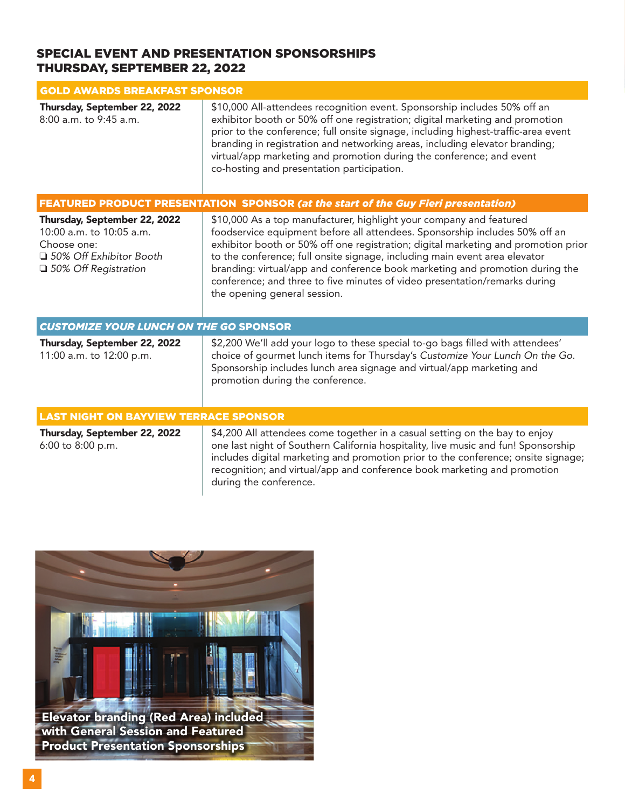# SPECIAL EVENT AND PRESENTATION SPONSORSHIPS THURSDAY, SEPTEMBER 22, 2022

| <b>GOLD AWARDS BREAKFAST SPONSOR</b>                                                                                           |                                                                                                                                                                                                                                                                                                                                                                                                                                                                                                                      |  |
|--------------------------------------------------------------------------------------------------------------------------------|----------------------------------------------------------------------------------------------------------------------------------------------------------------------------------------------------------------------------------------------------------------------------------------------------------------------------------------------------------------------------------------------------------------------------------------------------------------------------------------------------------------------|--|
| Thursday, September 22, 2022<br>8:00 a.m. to 9:45 a.m.                                                                         | \$10,000 All-attendees recognition event. Sponsorship includes 50% off an<br>exhibitor booth or 50% off one registration; digital marketing and promotion<br>prior to the conference; full onsite signage, including highest-traffic-area event<br>branding in registration and networking areas, including elevator branding;<br>virtual/app marketing and promotion during the conference; and event<br>co-hosting and presentation participation.                                                                 |  |
|                                                                                                                                | <b>FEATURED PRODUCT PRESENTATION SPONSOR (at the start of the Guy Fieri presentation)</b>                                                                                                                                                                                                                                                                                                                                                                                                                            |  |
| Thursday, September 22, 2022<br>10:00 a.m. to 10:05 a.m.<br>Choose one:<br>□ 50% Off Exhibitor Booth<br>□ 50% Off Registration | \$10,000 As a top manufacturer, highlight your company and featured<br>foodservice equipment before all attendees. Sponsorship includes 50% off an<br>exhibitor booth or 50% off one registration; digital marketing and promotion prior<br>to the conference; full onsite signage, including main event area elevator<br>branding: virtual/app and conference book marketing and promotion during the<br>conference; and three to five minutes of video presentation/remarks during<br>the opening general session. |  |
| <b>CUSTOMIZE YOUR LUNCH ON THE GO SPONSOR</b>                                                                                  |                                                                                                                                                                                                                                                                                                                                                                                                                                                                                                                      |  |
| Thursday, September 22, 2022<br>11:00 a.m. to 12:00 p.m.                                                                       | \$2,200 We'll add your logo to these special to-go bags filled with attendees'<br>choice of gourmet lunch items for Thursday's Customize Your Lunch On the Go.<br>Sponsorship includes lunch area signage and virtual/app marketing and<br>promotion during the conference.                                                                                                                                                                                                                                          |  |
| <b>LAST NIGHT ON BAYVIEW TERRACE SPONSOR</b>                                                                                   |                                                                                                                                                                                                                                                                                                                                                                                                                                                                                                                      |  |
| Thursday, September 22, 2022<br>6:00 to 8:00 p.m.                                                                              | \$4,200 All attendees come together in a casual setting on the bay to enjoy<br>one last night of Southern California hospitality, live music and fun! Sponsorship<br>includes digital marketing and promotion prior to the conference; onsite signage;<br>recognition; and virtual/app and conference book marketing and promotion<br>during the conference.                                                                                                                                                         |  |